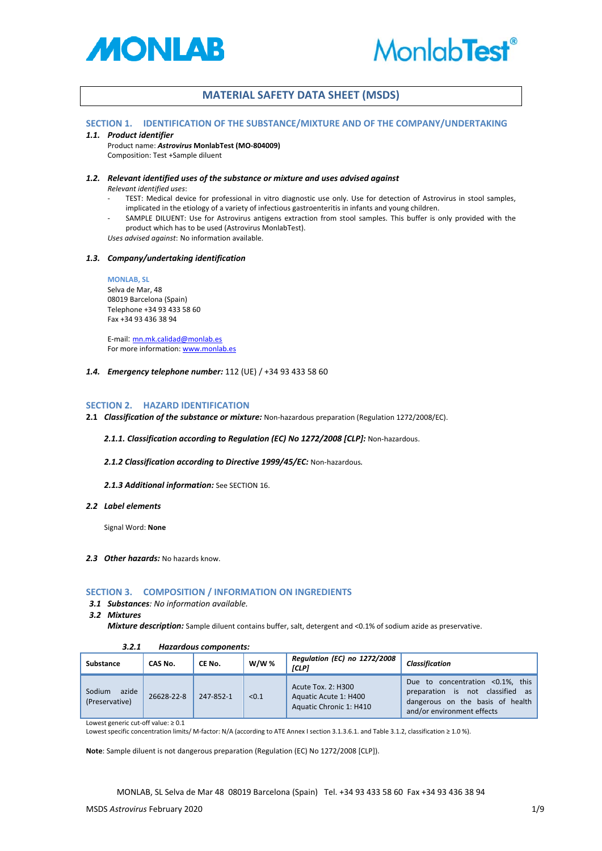



# **MATERIAL SAFETY DATA SHEET (MSDS)**

# **SECTION 1. IDENTIFICATION OF THE SUBSTANCE/MIXTURE AND OF THE COMPANY/UNDERTAKING**

#### *1.1. Product identifier*

Product name: *Astrovirus* **MonlabTest (MO‐804009)** Composition: Test +Sample diluent

# *1.2. Relevant identified uses of the substance or mixture and uses advised against*

*Relevant identified uses*:

- *‐* TEST: Medical device for professional in vitro diagnostic use only. Use for detection of Astrovirus in stool samples, implicated in the etiology of a variety of infectious gastroenteritis in infants and young children.
- *‐* SAMPLE DILUENT: Use for Astrovirus antigens extraction from stool samples. This buffer is only provided with the product which has to be used (Astrovirus MonlabTest).

*Uses advised against*: No information available.

### *1.3. Company/undertaking identification*

#### **MONLAB, SL**

Selva de Mar, 48 08019 Barcelona (Spain) Telephone +34 93 433 58 60 Fax +34 93 436 38 94

E‐mail: mn.mk.calidad@monlab.es For more information: www.monlab.es

*1.4. Emergency telephone number:* 112 (UE) / +34 93 433 58 60

### **SECTION 2. HAZARD IDENTIFICATION**

**2.1** *Classification of the substance or mixture:* Non‐hazardous preparation (Regulation 1272/2008/EC).

*2.1.1. Classification according to Regulation (EC) No 1272/2008 [CLP]:* Non‐hazardous.

- *2.1.2 Classification according to Directive 1999/45/EC:* Non‐hazardous*.*
- *2.1.3 Additional information:* See SECTION 16.

### *2.2 Label elements*

Signal Word: **None**

#### *2.3 Other hazards:* No hazards know.

### **SECTION 3. COMPOSITION / INFORMATION ON INGREDIENTS**

- *3.1 Substances: No information available.*
- *3.2 Mixtures*

*Mixture description:* Sample diluent contains buffer, salt, detergent and <0.1% of sodium azide as preservative.

### *3.2.1 Hazardous components:*

| <b>Substance</b>                  | CAS No.    | CE No.    | $W/W$ % | Regulation (EC) no 1272/2008<br><b>[CLP]</b>                           | <b>Classification</b>                                                                                                                  |
|-----------------------------------|------------|-----------|---------|------------------------------------------------------------------------|----------------------------------------------------------------------------------------------------------------------------------------|
| azide<br>Sodium<br>(Preservative) | 26628-22-8 | 247-852-1 | < 0.1   | Acute Tox. 2: H300<br>Aquatic Acute 1: H400<br>Aquatic Chronic 1: H410 | Due to concentration <0.1%, this<br>preparation is not classified as<br>dangerous on the basis of health<br>and/or environment effects |

Lowest generic cut‐off value: ≥ 0.1

Lowest specific concentration limits/ M‐factor: N/A (according to ATE Annex I section 3.1.3.6.1. and Table 3.1.2, classification ≥ 1.0 %).

**Note**: Sample diluent is not dangerous preparation (Regulation (EC) No 1272/2008 [CLP]).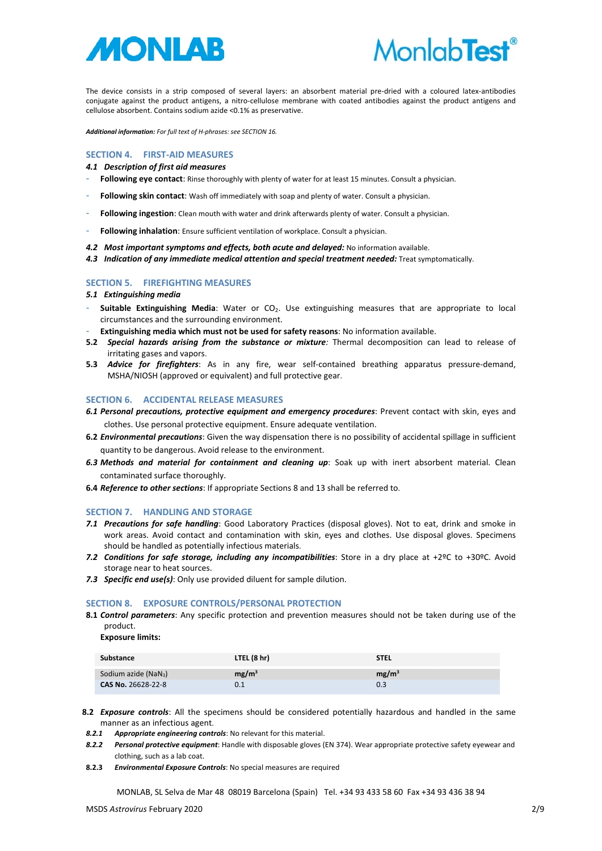



The device consists in a strip composed of several layers: an absorbent material pre-dried with a coloured latex-antibodies conjugate against the product antigens, a nitro‐cellulose membrane with coated antibodies against the product antigens and cellulose absorbent. Contains sodium azide <0.1% as preservative.

*Additional information: For full text of H‐phrases: see SECTION 16.*

#### **SECTION 4. FIRST‐AID MEASURES**

#### *4.1 Description of first aid measures*

- Following eye contact: Rinse thoroughly with plenty of water for at least 15 minutes. Consult a physician.
- **Following skin contact**: Wash off immediately with soap and plenty of water. Consult a physician.
- **Following ingestion**: Clean mouth with water and drink afterwards plenty of water. Consult a physician.
- Following inhalation: Ensure sufficient ventilation of workplace. Consult a physician.
- *4.2 Most important symptoms and effects, both acute and delayed:* No information available.
- *4.3 Indication of any immediate medical attention and special treatment needed:* Treat symptomatically.

### **SECTION 5. FIREFIGHTING MEASURES**

### *5.1 Extinguishing media*

- **Suitable Extinguishing Media**: Water or CO2. Use extinguishing measures that are appropriate to local circumstances and the surrounding environment.
- **Extinguishing media which must not be used for safety reasons**: No information available.
- **5.2** *Special hazards arising from the substance or mixture:* Thermal decomposition can lead to release of irritating gases and vapors.
- **5.3** *Advice for firefighters*: As in any fire, wear self‐contained breathing apparatus pressure‐demand, MSHA/NIOSH (approved or equivalent) and full protective gear.

### **SECTION 6. ACCIDENTAL RELEASE MEASURES**

- *6.1 Personal precautions, protective equipment and emergency procedures*: Prevent contact with skin, eyes and clothes. Use personal protective equipment. Ensure adequate ventilation.
- **6.2** *Environmental precautions*: Given the way dispensation there is no possibility of accidental spillage in sufficient quantity to be dangerous. Avoid release to the environment.
- *6.3 Methods and material for containment and cleaning up*: Soak up with inert absorbent material. Clean contaminated surface thoroughly.
- **6.4** *Reference to other sections*: If appropriate Sections 8 and 13 shall be referred to.

#### **SECTION 7. HANDLING AND STORAGE**

- *7.1 Precautions for safe handling*: Good Laboratory Practices (disposal gloves). Not to eat, drink and smoke in work areas. Avoid contact and contamination with skin, eyes and clothes. Use disposal gloves. Specimens should be handled as potentially infectious materials.
- *7.2 Conditions for safe storage, including any incompatibilities*: Store in a dry place at +2ºC to +30ºC. Avoid storage near to heat sources.
- *7.3 Specific end use(s)*: Only use provided diluent for sample dilution.

#### **SECTION 8. EXPOSURE CONTROLS/PERSONAL PROTECTION**

**8.1** *Control parameters*: Any specific protection and prevention measures should not be taken during use of the product.

**Exposure limits:** 

| Substance                        | LTEL (8 hr)       | <b>STEL</b>       |
|----------------------------------|-------------------|-------------------|
| Sodium azide (NaN <sub>3</sub> ) | mg/m <sup>3</sup> | mg/m <sup>3</sup> |
| CAS No. 26628-22-8               | 0.1               | 0.3               |

- **8.2** *Exposure controls*: All the specimens should be considered potentially hazardous and handled in the same manner as an infectious agent.
- *8.2.1 Appropriate engineering controls*: No relevant for this material.
- *8.2.2 Personal protective equipment*: Handle with disposable gloves (EN 374). Wear appropriate protective safety eyewear and clothing, such as a lab coat.
- **8.2.3** *Environmental Exposure Controls*: No special measures are required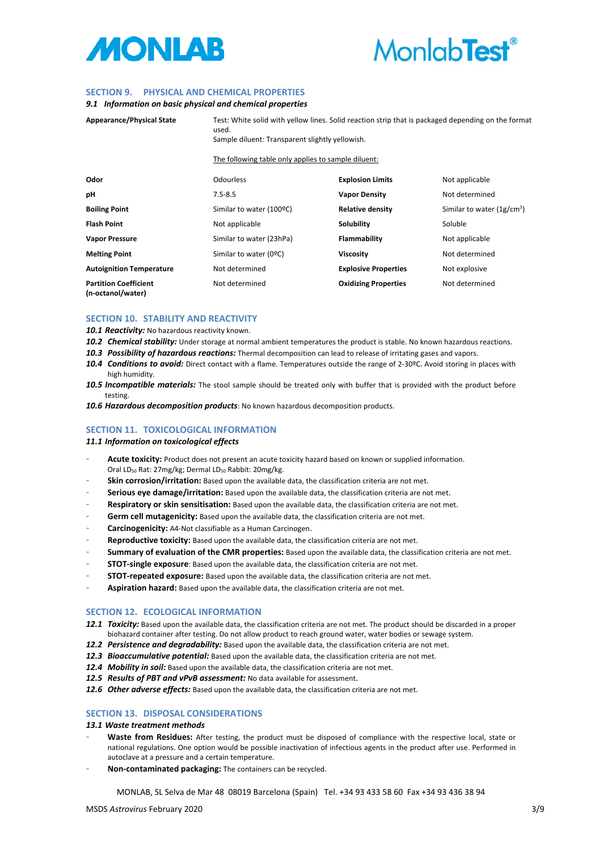



#### **SECTION 9. PHYSICAL AND CHEMICAL PROPERTIES**

#### *9.1 Information on basic physical and chemical properties*

| <b>Appearance/Physical State</b>                  | used.                                               | Test: White solid with yellow lines. Solid reaction strip that is packaged depending on the format<br>Sample diluent: Transparent slightly yellowish. |                              |  |  |  |
|---------------------------------------------------|-----------------------------------------------------|-------------------------------------------------------------------------------------------------------------------------------------------------------|------------------------------|--|--|--|
|                                                   | The following table only applies to sample diluent: |                                                                                                                                                       |                              |  |  |  |
| Odor                                              | <b>Odourless</b>                                    | <b>Explosion Limits</b>                                                                                                                               | Not applicable               |  |  |  |
| рH                                                | $7.5 - 8.5$                                         | <b>Vapor Density</b>                                                                                                                                  | Not determined               |  |  |  |
| <b>Boiling Point</b>                              | Similar to water (100ºC)                            | <b>Relative density</b>                                                                                                                               | Similar to water $(1g/cm^3)$ |  |  |  |
| <b>Flash Point</b>                                | Not applicable                                      | Solubility                                                                                                                                            | Soluble                      |  |  |  |
| <b>Vapor Pressure</b>                             | Similar to water (23hPa)                            | <b>Flammability</b>                                                                                                                                   | Not applicable               |  |  |  |
| <b>Melting Point</b>                              | Similar to water (0ºC)                              | <b>Viscosity</b>                                                                                                                                      | Not determined               |  |  |  |
| <b>Autoignition Temperature</b>                   | Not determined                                      | <b>Explosive Properties</b>                                                                                                                           | Not explosive                |  |  |  |
| <b>Partition Coefficient</b><br>(n-octanol/water) | Not determined                                      | <b>Oxidizing Properties</b>                                                                                                                           | Not determined               |  |  |  |

# **SECTION 10. STABILITY AND REACTIVITY**

- *10.1 Reactivity:* No hazardous reactivity known.
- *10.2 Chemical stability:* Under storage at normal ambient temperatures the product is stable. No known hazardous reactions.
- *10.3 Possibility of hazardous reactions:* Thermal decomposition can lead to release of irritating gases and vapors.
- *10.4 Conditions to avoid:* Direct contact with a flame. Temperatures outside the range of 2‐30ºC. Avoid storing in places with high humidity.
- *10.5 Incompatible materials:* The stool sample should be treated only with buffer that is provided with the product before testing.
- *10.6 Hazardous decomposition products*: No known hazardous decomposition products.

### **SECTION 11. TOXICOLOGICAL INFORMATION**

#### *11.1 Information on toxicological effects*

- Acute toxicity: Product does not present an acute toxicity hazard based on known or supplied information. Oral LD<sub>50</sub> Rat: 27mg/kg; Dermal LD<sub>50</sub> Rabbit: 20mg/kg.
- Skin corrosion/irritation: Based upon the available data, the classification criteria are not met.
- **Serious eye damage/irritation:** Based upon the available data, the classification criteria are not met.
- **Respiratory or skin sensitisation:** Based upon the available data, the classification criteria are not met.
- Germ cell mutagenicity: Based upon the available data, the classification criteria are not met.
- **Carcinogenicity:** A4‐Not classifiable as a Human Carcinogen.
- **Reproductive toxicity:** Based upon the available data, the classification criteria are not met.
- **Summary of evaluation of the CMR properties:** Based upon the available data, the classification criteria are not met.
- **STOT‐single exposure**: Based upon the available data, the classification criteria are not met.
- **STOT‐repeated exposure:** Based upon the available data, the classification criteria are not met.
- **Aspiration hazard:** Based upon the available data, the classification criteria are not met.

### **SECTION 12. ECOLOGICAL INFORMATION**

- *12.1 Toxicity:* Based upon the available data, the classification criteria are not met. The product should be discarded in a proper biohazard container after testing. Do not allow product to reach ground water, water bodies or sewage system.
- *12.2 Persistence and degradability:* Based upon the available data, the classification criteria are not met.
- *12.3 Bioaccumulative potential:* Based upon the available data, the classification criteria are not met.
- *12.4 Mobility in soil:* Based upon the available data, the classification criteria are not met.
- *12.5 Results of PBT and vPvB assessment:* No data available for assessment.
- *12.6 Other adverse effects:* Based upon the available data, the classification criteria are not met.

## **SECTION 13. DISPOSAL CONSIDERATIONS**

### *13.1 Waste treatment methods*

- **Waste from Residues:** After testing, the product must be disposed of compliance with the respective local, state or national regulations. One option would be possible inactivation of infectious agents in the product after use. Performed in autoclave at a pressure and a certain temperature.
- **Non‐contaminated packaging:** The containers can be recycled.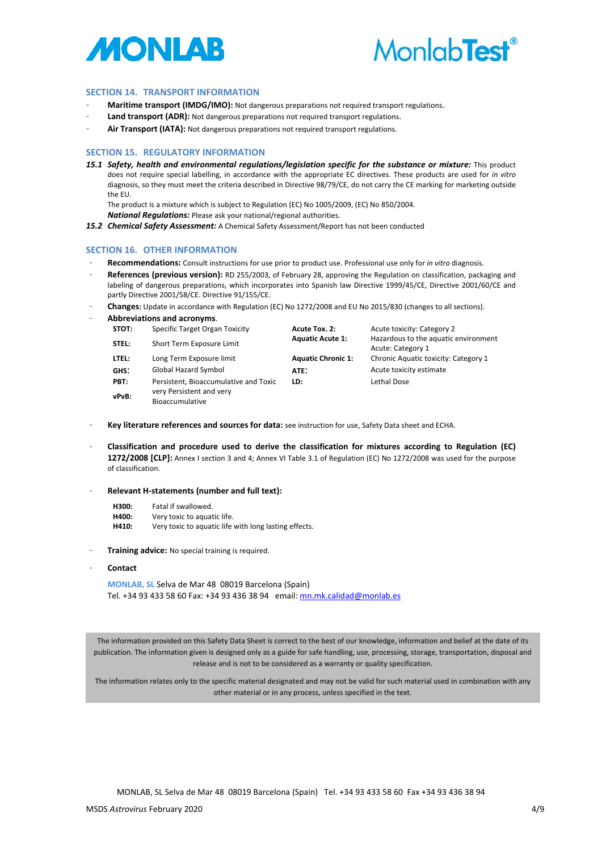



### **SECTION 14. TRANSPORT INFORMATION**

- **Maritime transport (IMDG/IMO):** Not dangerous preparations not required transport regulations.
- Land transport (ADR): Not dangerous preparations not required transport regulations.
- Air Transport (IATA): Not dangerous preparations not required transport regulations.

### **SECTION 15. REGULATORY INFORMATION**

*15.1 Safety, health and environmental regulations/legislation specific for the substance or mixture:* This product does not require special labelling, in accordance with the appropriate EC directives. These products are used for *in vitro* diagnosis, so they must meet the criteria described in Directive 98/79/CE, do not carry the CE marking for marketing outside the EU.

The product is a mixture which is subject to Regulation (EC) No 1005/2009, (EC) No 850/2004.

- *National Regulations:* Please ask your national/regional authorities.
- *15.2 Chemical Safety Assessment:* A Chemical Safety Assessment/Report has not been conducted

### **SECTION 16. OTHER INFORMATION**

- **Recommendations:** Consult instructions for use prior to product use. Professional use only for *in vitro* diagnosis.
- **References (previous version):** RD 255/2003, of February 28, approving the Regulation on classification, packaging and labeling of dangerous preparations, which incorporates into Spanish law Directive 1999/45/CE, Directive 2001/60/CE and partly Directive 2001/58/CE. Directive 91/155/CE.
- **Changes:** Update in accordance with Regulation (EC) No 1272/2008 and EU No 2015/830 (changes to all sections).

| ۰     | <b>Abbreviations and acronyms.</b>          |                           |                                                           |
|-------|---------------------------------------------|---------------------------|-----------------------------------------------------------|
| STOT: | Specific Target Organ Toxicity              | Acute Tox. 2:             | Acute toxicity: Category 2                                |
| STEL: | Short Term Exposure Limit                   | <b>Aquatic Acute 1:</b>   | Hazardous to the aquatic environment<br>Acute: Category 1 |
| LTEL: | Long Term Exposure limit                    | <b>Aquatic Chronic 1:</b> | Chronic Aquatic toxicity: Category 1                      |
| GHS:  | Global Hazard Symbol                        | ATE:                      | Acute toxicity estimate                                   |
| PBT:  | Persistent, Bioaccumulative and Toxic       | LD:                       | Lethal Dose                                               |
| vPvB: | very Persistent and very<br>Bioaccumulative |                           |                                                           |

- **Key literature references and sources for data:** see instruction for use, Safety Data sheet and ECHA.
- **Classification and procedure used to derive the classification for mixtures according to Regulation (EC) 1272/2008 [CLP]:** Annex I section 3 and 4; Annex VI Table 3.1 of Regulation (EC) No 1272/2008 was used for the purpose of classification.
- **Relevant H‐statements (number and full text):**
	- **H300:** Fatal if swallowed.<br>**H400:** Very toxic to aquat Very toxic to aquatic life. **H410:** Very toxic to aquatic life with long lasting effects.
- **Training advice:** No special training is required.
- **Contact**

**MONLAB, SL** Selva de Mar 48 08019 Barcelona (Spain) Tel. +34 93 433 58 60 Fax: +34 93 436 38 94 email: mn.mk.calidad@monlab.es

The information provided on this Safety Data Sheet is correct to the best of our knowledge, information and belief at the date of its publication. The information given is designed only as a guide for safe handling, use, processing, storage, transportation, disposal and release and is not to be considered as a warranty or quality specification.

The information relates only to the specific material designated and may not be valid for such material used in combination with any other material or in any process, unless specified in the text.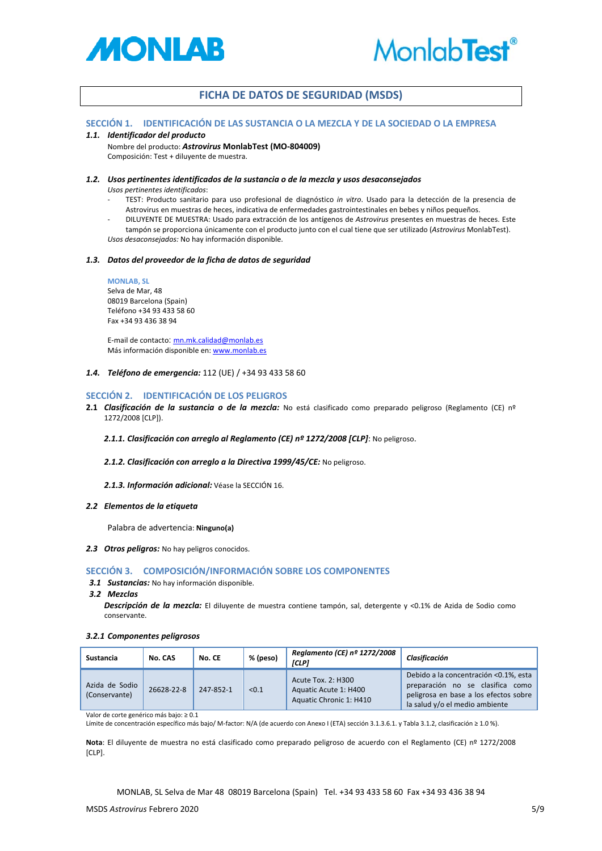



# **FICHA DE DATOS DE SEGURIDAD (MSDS)**

### **SECCIÓN 1. IDENTIFICACIÓN DE LAS SUSTANCIA O LA MEZCLA Y DE LA SOCIEDAD O LA EMPRESA**

#### *1.1. Identificador del producto*

Nombre del producto: *Astrovirus* **MonlabTest (MO‐804009)** Composición: Test + diluyente de muestra.

# *1.2. Usos pertinentes identificados de la sustancia o de la mezcla y usos desaconsejados*

*Usos pertinentes identificados*:

- ‐ TEST: Producto sanitario para uso profesional de diagnóstico *in vitro*. Usado para la detección de la presencia de Astrovirus en muestras de heces, indicativa de enfermedades gastrointestinales en bebes y niños pequeños.
- ‐ DILUYENTE DE MUESTRA: Usado para extracción de los antígenos de *Astrovirus* presentes en muestras de heces. Este tampón se proporciona únicamente con el producto junto con el cual tiene que ser utilizado (*Astrovirus* MonlabTest). *Usos desaconsejados:* No hay información disponible.

#### *1.3. Datos del proveedor de la ficha de datos de seguridad*

#### **MONLAB, SL**

Selva de Mar, 48 08019 Barcelona (Spain) Teléfono +34 93 433 58 60 Fax +34 93 436 38 94

E‐mail de contacto: mn.mk.calidad@monlab.es Más información disponible en: www.monlab.es

*1.4. Teléfono de emergencia:* 112 (UE) / +34 93 433 58 60

# **SECCIÓN 2. IDENTIFICACIÓN DE LOS PELIGROS**

**2.1** *Clasificación de la sustancia o de la mezcla:* No está clasificado como preparado peligroso (Reglamento (CE) nº 1272/2008 [CLP]).

*2.1.1. Clasificación con arreglo al Reglamento (CE) nº 1272/2008 [CLP]*: No peligroso.

- *2.1.2. Clasificación con arreglo a la Directiva 1999/45/CE:* No peligroso.
- *2.1.3. Información adicional:* Véase la SECCIÓN 16.

#### *2.2 Elementos de la etiqueta*

Palabra de advertencia: **Ninguno(a)**

### *2.3 Otros peligros:* No hay peligros conocidos.

## **SECCIÓN 3. COMPOSICIÓN/INFORMACIÓN SOBRE LOS COMPONENTES**

- *3.1 Sustancias:* No hay información disponible.
- *3.2 Mezclas*

*Descripción de la mezcla:* El diluyente de muestra contiene tampón, sal, detergente y <0.1% de Azida de Sodio como conservante.

### *3.2.1 Componentes peligrosos*

| <b>Sustancia</b>                | No. CAS    | No. CE    | % (peso) | Reglamento (CE) nº 1272/2008<br><b>[CLP]</b>                           | Clasificación                                                                                                                                           |
|---------------------------------|------------|-----------|----------|------------------------------------------------------------------------|---------------------------------------------------------------------------------------------------------------------------------------------------------|
| Azida de Sodio<br>(Conservante) | 26628-22-8 | 247-852-1 | < 0.1    | Acute Tox. 2: H300<br>Aquatic Acute 1: H400<br>Aquatic Chronic 1: H410 | Debido a la concentración <0.1%, esta<br>preparación no se clasifica<br>como<br>peligrosa en base a los efectos sobre<br>la salud y/o el medio ambiente |

Valor de corte genérico más bajo: ≥ 0.1

Límite de concentración específico más bajo/ M‐factor: N/A (de acuerdo con Anexo I (ETA) sección 3.1.3.6.1. y Tabla 3.1.2, clasificación ≥ 1.0 %).

**Nota**: El diluyente de muestra no está clasificado como preparado peligroso de acuerdo con el Reglamento (CE) nº 1272/2008 [CLP].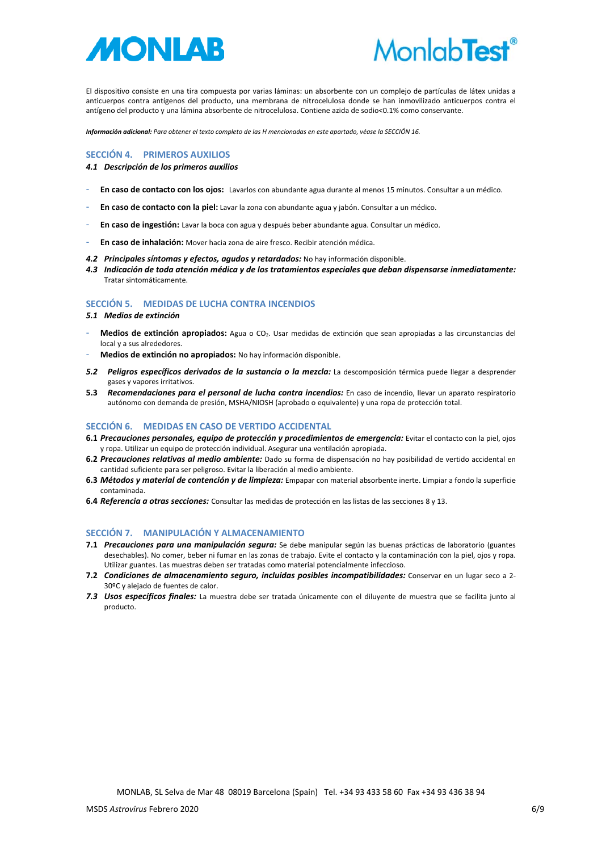



El dispositivo consiste en una tira compuesta por varias láminas: un absorbente con un complejo de partículas de látex unidas a anticuerpos contra antígenos del producto, una membrana de nitrocelulosa donde se han inmovilizado anticuerpos contra el antígeno del producto y una lámina absorbente de nitrocelulosa. Contiene azida de sodio<0.1% como conservante.

Información adicional: Para obtener el texto completo de las H mencionadas en este apartado, véase la SECCIÓN 16

#### **SECCIÓN 4. PRIMEROS AUXILIOS**

#### *4.1 Descripción de los primeros auxilios*

- **En caso de contacto con los ojos:**  Lavarlos con abundante agua durante al menos 15 minutos. Consultar a un médico.
- **En caso de contacto con la piel:** Lavar la zona con abundante agua y jabón. Consultar a un médico.
- **En caso de ingestión:** Lavar la boca con agua y después beber abundante agua. Consultar un médico.
- **En caso de inhalación:** Mover hacia zona de aire fresco. Recibir atención médica.
- *4.2 Principales síntomas y efectos, agudos y retardados:* No hay información disponible.
- *4.3 Indicación de toda atención médica y de los tratamientos especiales que deban dispensarse inmediatamente:* Tratar sintomáticamente.

# **SECCIÓN 5. MEDIDAS DE LUCHA CONTRA INCENDIOS**

#### *5.1 Medios de extinción*

- **Medios de extinción apropiados:** Agua o CO2. Usar medidas de extinción que sean apropiadas a las circunstancias del local y a sus alrededores.
- **Medios de extinción no apropiados:** No hay información disponible.
- *5.2 Peligros específicos derivados de la sustancia o la mezcla:* La descomposición térmica puede llegar a desprender gases y vapores irritativos.
- **5.3** *Recomendaciones para el personal de lucha contra incendios:* En caso de incendio, llevar un aparato respiratorio autónomo con demanda de presión, MSHA/NIOSH (aprobado o equivalente) y una ropa de protección total.

#### **SECCIÓN 6. MEDIDAS EN CASO DE VERTIDO ACCIDENTAL**

- **6.1** *Precauciones personales, equipo de protección y procedimientos de emergencia:* Evitar el contacto con la piel, ojos y ropa. Utilizar un equipo de protección individual. Asegurar una ventilación apropiada.
- **6.2** *Precauciones relativas al medio ambiente:* Dado su forma de dispensación no hay posibilidad de vertido accidental en cantidad suficiente para ser peligroso. Evitar la liberación al medio ambiente.
- **6.3** *Métodos y material de contención y de limpieza:* Empapar con material absorbente inerte. Limpiar a fondo la superficie contaminada.
- **6.4** *Referencia a otras secciones:* Consultar las medidas de protección en las listas de las secciones 8 y 13.

### **SECCIÓN 7. MANIPULACIÓN Y ALMACENAMIENTO**

- **7.1** *Precauciones para una manipulación segura:* Se debe manipular según las buenas prácticas de laboratorio (guantes desechables). No comer, beber ni fumar en las zonas de trabajo. Evite el contacto y la contaminación con la piel, ojos y ropa. Utilizar guantes. Las muestras deben ser tratadas como material potencialmente infeccioso.
- **7.2** *Condiciones de almacenamiento seguro, incluidas posibles incompatibilidades:* Conservar en un lugar seco a 2‐ 30ºC y alejado de fuentes de calor.
- *7.3 Usos específicos finales:* La muestra debe ser tratada únicamente con el diluyente de muestra que se facilita junto al producto.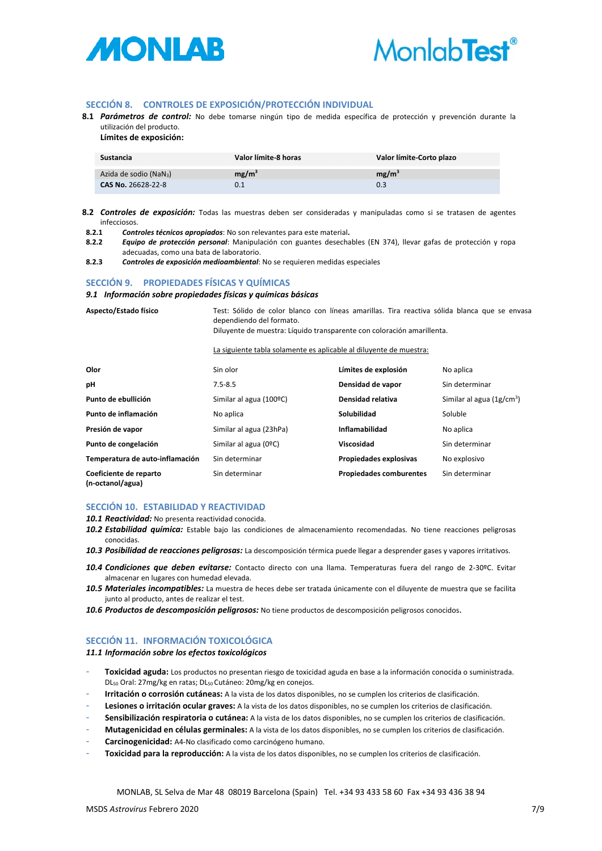



### **SECCIÓN 8. CONTROLES DE EXPOSICIÓN/PROTECCIÓN INDIVIDUAL**

**8.1** *Parámetros de control:* No debe tomarse ningún tipo de medida específica de protección y prevención durante la utilización del producto.

**Límites de exposición:** 

| <b>Sustancia</b>                                         | Valor límite-8 horas | Valor límite-Corto plazo |
|----------------------------------------------------------|----------------------|--------------------------|
| Azida de sodio (NaN <sub>3</sub> )<br>CAS No. 26628-22-8 | mg/m <sup>3</sup>    | mg/m <sup>3</sup><br>0.3 |

- **8.2** *Controles de exposición:* Todas las muestras deben ser consideradas y manipuladas como si se tratasen de agentes infecciosos.
- **8.2.1** *Controles técnicos apropiados*: No son relevantes para este material**.**
- **8.2.2** *Equipo de protección personal*: Manipulación con guantes desechables (EN 374), llevar gafas de protección y ropa adecuadas, como una bata de laboratorio.

**8.2.3** *Controles de exposición medioambiental*: No se requieren medidas especiales

### **SECCIÓN 9. PROPIEDADES FÍSICAS Y QUÍMICAS**

#### *9.1 Información sobre propiedades físicas y químicas básicas*

**Aspecto/Estado físico** Test: Sólido de color blanco con líneas amarillas. Tira reactiva sólida blanca que se envasa dependiendo del formato. Diluyente de muestra: Líquido transparente con coloración amarillenta.

La siguiente tabla solamente es aplicable al diluyente de muestra:

| Olor                                       | Sin olor                | Límites de explosión           | No aplica                   |
|--------------------------------------------|-------------------------|--------------------------------|-----------------------------|
| рH                                         | $7.5 - 8.5$             | Densidad de vapor              | Sin determinar              |
| Punto de ebullición                        | Similar al agua (100ºC) | Densidad relativa              | Similar al agua $(1g/cm^3)$ |
| Punto de inflamación                       | No aplica               | Solubilidad                    | Soluble                     |
| Presión de vapor                           | Similar al agua (23hPa) | Inflamabilidad                 | No aplica                   |
| Punto de congelación                       | Similar al agua (0ºC)   | <b>Viscosidad</b>              | Sin determinar              |
| Temperatura de auto-inflamación            | Sin determinar          | Propiedades explosivas         | No explosivo                |
| Coeficiente de reparto<br>(n-octanol/agua) | Sin determinar          | <b>Propiedades comburentes</b> | Sin determinar              |

# **SECCIÓN 10. ESTABILIDAD Y REACTIVIDAD**

- *10.1 Reactividad:* No presenta reactividad conocida.
- *10.2 Estabilidad química:* Estable bajo las condiciones de almacenamiento recomendadas. No tiene reacciones peligrosas conocidas.
- *10.3 Posibilidad de reacciones peligrosas:* La descomposición térmica puede llegar a desprender gases y vapores irritativos.
- *10.4 Condiciones que deben evitarse:* Contacto directo con una llama. Temperaturas fuera del rango de 2‐30ºC. Evitar almacenar en lugares con humedad elevada.
- *10.5 Materiales incompatibles:* La muestra de heces debe ser tratada únicamente con el diluyente de muestra que se facilita junto al producto, antes de realizar el test.
- *10.6 Productos de descomposición peligrosos:* No tiene productos de descomposición peligrosos conocidos.

### **SECCIÓN 11. INFORMACIÓN TOXICOLÓGICA**

### *11.1 Información sobre los efectos toxicológicos*

- **Toxicidad aguda:** Los productos no presentan riesgo de toxicidad aguda en base a la información conocida o suministrada. DL50 Oral: 27mg/kg en ratas; DL50 Cutáneo: 20mg/kg en conejos.
- **Irritación o corrosión cutáneas:** A la vista de los datos disponibles, no se cumplen los criterios de clasificación.
- **Lesiones o irritación ocular graves:** A la vista de los datos disponibles, no se cumplen los criterios de clasificación.
- **Sensibilización respiratoria o cutánea:** A la vista de los datos disponibles, no se cumplen los criterios de clasificación.
- **Mutagenicidad en células germinales:** A la vista de los datos disponibles, no se cumplen los criterios de clasificación.
- **Carcinogenicidad:** A4‐No clasificado como carcinógeno humano.
- **Toxicidad para la reproducción:** A la vista de los datos disponibles, no se cumplen los criterios de clasificación.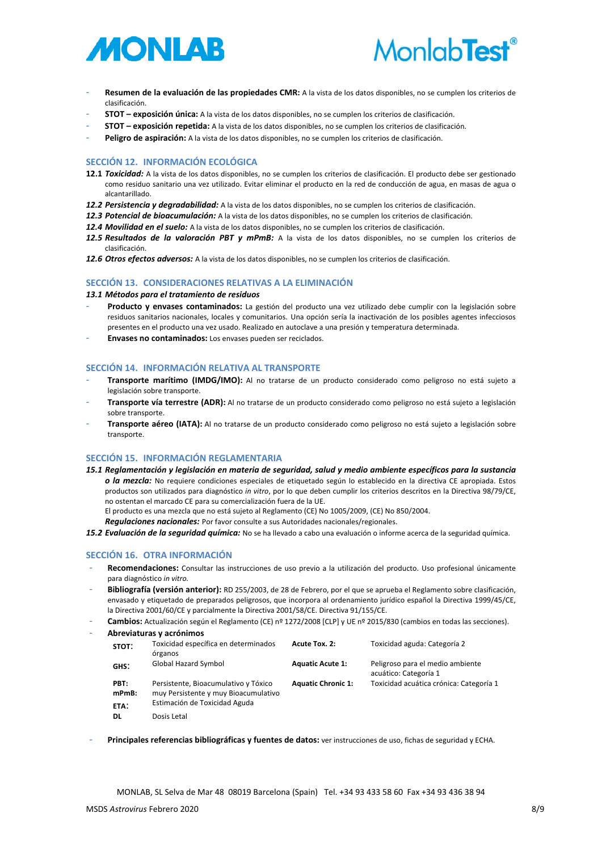



- **Resumen de la evaluación de las propiedades CMR:** A la vista de los datos disponibles, no se cumplen los criterios de clasificación.
- **STOT – exposición única:** A la vista de los datos disponibles, no se cumplen los criterios de clasificación.
- **STOT – exposición repetida:** A la vista de los datos disponibles, no se cumplen los criterios de clasificación.
- Peligro de aspiración: A la vista de los datos disponibles, no se cumplen los criterios de clasificación.

### **SECCIÓN 12. INFORMACIÓN ECOLÓGICA**

- **12.1** *Toxicidad:* A la vista de los datos disponibles, no se cumplen los criterios de clasificación. El producto debe ser gestionado como residuo sanitario una vez utilizado. Evitar eliminar el producto en la red de conducción de agua, en masas de agua o alcantarillado.
- *12.2 Persistencia y degradabilidad:* A la vista de los datos disponibles, no se cumplen los criterios de clasificación.
- *12.3 Potencial de bioacumulación:* A la vista de los datos disponibles, no se cumplen los criterios de clasificación.
- *12.4 Movilidad en el suelo:* A la vista de los datos disponibles, no se cumplen los criterios de clasificación.
- *12.5 Resultados de la valoración PBT y mPmB:* A la vista de los datos disponibles, no se cumplen los criterios de clasificación.
- *12.6 Otros efectos adversos:* A la vista de los datos disponibles, no se cumplen los criterios de clasificación.

#### **SECCIÓN 13. CONSIDERACIONES RELATIVAS A LA ELIMINACIÓN**

#### *13.1 Métodos para el tratamiento de residuos*

- **Producto y envases contaminados:** La gestión del producto una vez utilizado debe cumplir con la legislación sobre residuos sanitarios nacionales, locales y comunitarios. Una opción sería la inactivación de los posibles agentes infecciosos presentes en el producto una vez usado. Realizado en autoclave a una presión y temperatura determinada.
- **Envases no contaminados:** Los envases pueden ser reciclados.

### **SECCIÓN 14. INFORMACIÓN RELATIVA AL TRANSPORTE**

- **Transporte marítimo (IMDG/IMO):** Al no tratarse de un producto considerado como peligroso no está sujeto a legislación sobre transporte.
- **Transporte vía terrestre (ADR):** Al no tratarse de un producto considerado como peligroso no está sujeto a legislación sobre transporte.
- **Transporte aéreo (IATA):** Al no tratarse de un producto considerado como peligroso no está sujeto a legislación sobre transporte.

### **SECCIÓN 15. INFORMACIÓN REGLAMENTARIA**

- *15.1 Reglamentación y legislación en materia de seguridad, salud y medio ambiente específicos para la sustancia o la mezcla:* No requiere condiciones especiales de etiquetado según lo establecido en la directiva CE apropiada. Estos productos son utilizados para diagnóstico *in vitro*, por lo que deben cumplir los criterios descritos en la Directiva 98/79/CE, no ostentan el marcado CE para su comercialización fuera de la UE.
	- El producto es una mezcla que no está sujeto al Reglamento (CE) No 1005/2009, (CE) No 850/2004.

*Regulaciones nacionales:* Por favor consulte a sus Autoridades nacionales/regionales.

*15.2 Evaluación de la seguridad química:* No se ha llevado a cabo una evaluación o informe acerca de la seguridad química.

### **SECCIÓN 16. OTRA INFORMACIÓN**

- **Recomendaciones:** Consultar las instrucciones de uso previo a la utilización del producto. Uso profesional únicamente para diagnóstico *in vitro.*
- **Bibliografía (versión anterior):** RD 255/2003, de 28 de Febrero, por el que se aprueba el Reglamento sobre clasificación, envasado y etiquetado de preparados peligrosos, que incorpora al ordenamiento jurídico español la Directiva 1999/45/CE, la Directiva 2001/60/CE y parcialmente la Directiva 2001/58/CE. Directiva 91/155/CE.
- **Cambios:** Actualización según el Reglamento (CE) nº 1272/2008 [CLP] y UE nº 2015/830 (cambios en todas las secciones).
- **Abreviaturas y acrónimos STOT**: Toxicidad específica en determinados

| JIVI.                 | órganos                                                                                                       |                           |                                                           |
|-----------------------|---------------------------------------------------------------------------------------------------------------|---------------------------|-----------------------------------------------------------|
| GHS:                  | Global Hazard Symbol                                                                                          | <b>Aquatic Acute 1:</b>   | Peligroso para el medio ambiente<br>acuático: Categoría 1 |
| PBT:<br>mPmB:<br>ETA: | Persistente, Bioacumulativo y Tóxico<br>muy Persistente y muy Bioacumulativo<br>Estimación de Toxicidad Aguda | <b>Aquatic Chronic 1:</b> | Toxicidad acuática crónica: Categoría 1                   |
| DL                    | Dosis Letal                                                                                                   |                           |                                                           |

**Acute Tox. 2:** Toxicidad aguda: Categoría 2

- **Principales referencias bibliográficas y fuentes de datos:** ver instrucciones de uso, fichas de seguridad y ECHA.